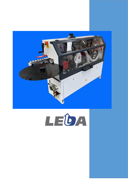

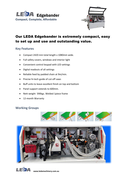



# Our LEDA Edgebander is extremely compact, easy to set up and use and outstanding value.

#### **Key Features**

- Compact 2420 mm total length x 1080mm wide.
- Full safety covers, windows and interior light
- Convenient control keypad with LED settings
- Digital readouts of all settings
- Reliable feed by padded chain at 9m/min.
- Precise hi-tech guide of cut-off saws
- Buff units to leave excellent finish on top and bottom
- Panel support extends to 600mm.
- Nett weight 590kgs. Welded 1piece frame
- 12-month Warranty

#### **Working Groups**







**www.ledamachinery.com.au**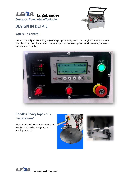

# **DESIGN IN DETAIL**



## **You're in control**

The PLC Control puts everything at your fingertips including actual and set glue temperature. You can adjust the tape allowance and the panel gap and see warnings for low air pressure, glue temp and motor overloading



## **Handles heavy tape coils, 'no problem'**

620mm and solidly mounted - keeps you heaviest coils perfectly aligned and rotating smoothly.





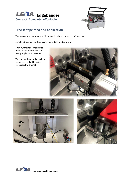



## **Precise tape feed and application**

The heavy-duty pneumatic guillotine easily shears tapes up to 3mm thick

Simple adjustable guides ensure your edges feed smoothly

Twin 70mm steel pneumatic rollers maintain reliable and heavy application pressure

The glue and tape drive rollers are directly linked by drive sprockets (no chains!)







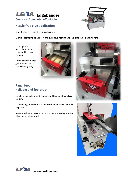

## **Hassle free glue application**

Glue thickness is adjusted by a rotary dial

Multiple elements deliver fast and even glue heating and the large tank is easy to refill

Excess glue is recirculated for a clean and fuss free system.

Teflon coating makes glue removal and tank cleaning easy.





# **Panel feed : Reliable and foolproof**

Simple reliable alignment, support and feeding of panels is built in.

400mm long and 40mm x 20mm thick infeed fence . perfect alignment.

A pneumatic stop prevents a second panel entering too soon after the first. Foolproof!





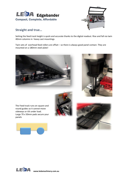



### **Straight and true…**

Setting the feed track height is quick and accurate thanks to the digital readout. Rise and fall via twin 40mm columns in heavy cast mountings

Twin sets of overhead feed rollers are offset – so there is always good panel contact. They are mounted on a 180mm steel plate!





The Feed track runs on square and round guides so it cannot move sideways or tilt under load. Large 70 x 50mm pads secure your panels







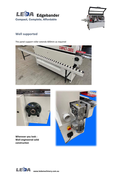



## **Well supported**





**Wherever you look : Well-engineered solid construction**



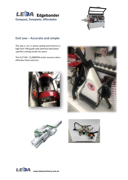



### **End saw – Accurate and simple**

The saw is on a 1-piece casting and travel on a high tech THK guide with external lubrication >perfect cutting results for years.

The 0.37 KW 12,000RPM motor ensures clean, effortless flush end trim









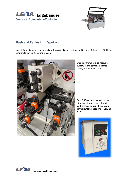



## **Flush and Radius trim 'spot on'**

Solid 160mm diameter copy wheels with precise digital resetting and 6 knife TCT heads > 72,000 cuts per minute so your trimming is clean



Changing from bevel to Radius is quick with the combi 12-degree bevel / 2mm radius cutters.

Twin 0.35kw motors ensure clean trimming of tough tapes. Inverter control saves power while ensuring correct cutter speeds under varying loads



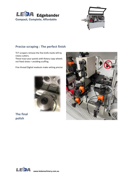



## **Precise scraping : The perfect finish**

TCT scrapers remove the fine knife marks left by rotary cutters.

These trace your panels with Rotary copy wheels not fixed shoes > avoiding scuffing

Fine thread Digital readouts make setting precise





**The final polish**

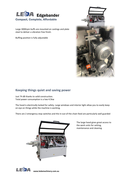

Large 3000rpm buffs are mounted on castings and plate steel to deliver a vibration free finish.

Buffing position is fully adjustable



#### **Keeping things quiet and saving power**

Just 74 dB thanks to solid construction. Total power consumption is a low 4.5kw

The hood is electrically locked for safety. Large windows and interior light allow you to easily keep on eye on things while the machine is working.

There are 2 emergency stop switches and the in-out of the chain feed are particularly well guarded



LEIDA

The large hood gives great access to the work units for setting, maintenance and cleaning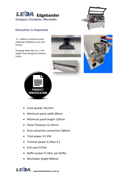



## **Extraction is important**

2 x 100mm connection point reducing installation costs and hassles

Scrapings drop clear via a fulllength chute along the machine frame







- Feed speeds: 9m/min
- Minimum panel width 80mm
- Minimum panel length 120mm
- Panel Thickness 12-45mm
- Dust extraction connection 100mm
- Total power 4.5 KW
- Trimmer power 0.35kw X 2
- End saw 0.37kw
- Buffer power 0.12kw per Buffer
- Worktable height 900mm



**www.ledamachinery.com.au**